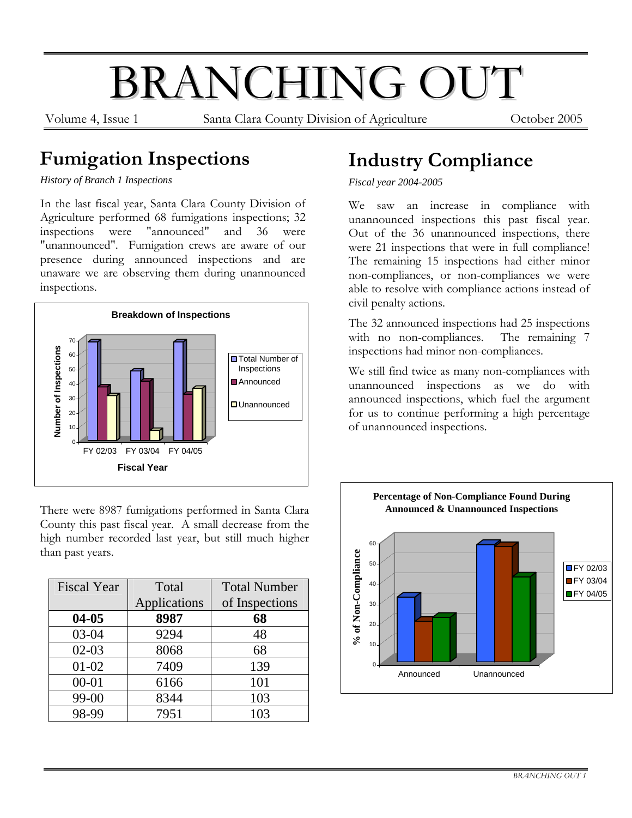# BRANCHING OUT

Volume 4, Issue 1 Santa Clara County Division of Agriculture October 2005

### **Fumigation Inspections**

*History of Branch 1 Inspections*

In the last fiscal year, Santa Clara County Division of Agriculture performed 68 fumigations inspections; 32 inspections were "announced" and 36 were "unannounced". Fumigation crews are aware of our presence during announced inspections and are unaware we are observing them during unannounced inspections.



There were 8987 fumigations performed in Santa Clara County this past fiscal year. A small decrease from the high number recorded last year, but still much higher than past years.

| <b>Fiscal Year</b> | Total        | <b>Total Number</b> |
|--------------------|--------------|---------------------|
|                    | Applications | of Inspections      |
| $04 - 05$          | 8987         | 68                  |
| 03-04              | 9294         | 48                  |
| $02 - 03$          | 8068         | 68                  |
| $01 - 02$          | 7409         | 139                 |
| $00 - 01$          | 6166         | 101                 |
| 99-00              | 8344         | 103                 |
| 98-99              | 7951         | 103                 |

### **Industry Compliance**

*Fiscal year 2004-2005* 

We saw an increase in compliance with unannounced inspections this past fiscal year. Out of the 36 unannounced inspections, there were 21 inspections that were in full compliance! The remaining 15 inspections had either minor non-compliances, or non-compliances we were able to resolve with compliance actions instead of civil penalty actions.

The 32 announced inspections had 25 inspections with no non-compliances. The remaining 7 inspections had minor non-compliances.

We still find twice as many non-compliances with unannounced inspections as we do with announced inspections, which fuel the argument for us to continue performing a high percentage of unannounced inspections.

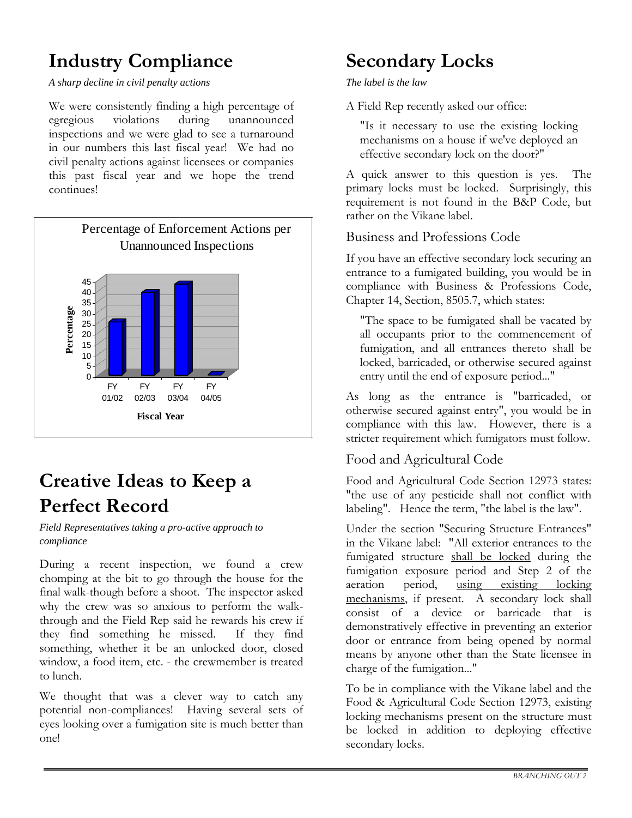# **Industry Compliance**

*A sharp decline in civil penalty actions* 

We were consistently finding a high percentage of egregious violations during unannounced inspections and we were glad to see a turnaround in our numbers this last fiscal year! We had no civil penalty actions against licensees or companies this past fiscal year and we hope the trend continues!



### **Creative Ideas to Keep a Perfect Record**

*Field Representatives taking a pro-active approach to compliance* 

During a recent inspection, we found a crew chomping at the bit to go through the house for the final walk-though before a shoot. The inspector asked why the crew was so anxious to perform the walkthrough and the Field Rep said he rewards his crew if they find something he missed. If they find something, whether it be an unlocked door, closed window, a food item, etc. - the crewmember is treated to lunch.

We thought that was a clever way to catch any potential non-compliances! Having several sets of eyes looking over a fumigation site is much better than one!

### **Secondary Locks**

#### *The label is the law*

A Field Rep recently asked our office:

"Is it necessary to use the existing locking mechanisms on a house if we've deployed an effective secondary lock on the door?"

A quick answer to this question is yes. The primary locks must be locked. Surprisingly, this requirement is not found in the B&P Code, but rather on the Vikane label.

#### Business and Professions Code

If you have an effective secondary lock securing an entrance to a fumigated building, you would be in compliance with Business & Professions Code, Chapter 14, Section, 8505.7, which states:

"The space to be fumigated shall be vacated by all occupants prior to the commencement of fumigation, and all entrances thereto shall be locked, barricaded, or otherwise secured against entry until the end of exposure period..."

As long as the entrance is "barricaded, or otherwise secured against entry", you would be in compliance with this law. However, there is a stricter requirement which fumigators must follow.

#### Food and Agricultural Code

Food and Agricultural Code Section 12973 states: "the use of any pesticide shall not conflict with labeling". Hence the term, "the label is the law".

Under the section "Securing Structure Entrances" in the Vikane label: "All exterior entrances to the fumigated structure shall be locked during the fumigation exposure period and Step 2 of the aeration period, using existing locking mechanisms, if present. A secondary lock shall consist of a device or barricade that is demonstratively effective in preventing an exterior door or entrance from being opened by normal means by anyone other than the State licensee in charge of the fumigation..."

To be in compliance with the Vikane label and the Food & Agricultural Code Section 12973, existing locking mechanisms present on the structure must be locked in addition to deploying effective secondary locks.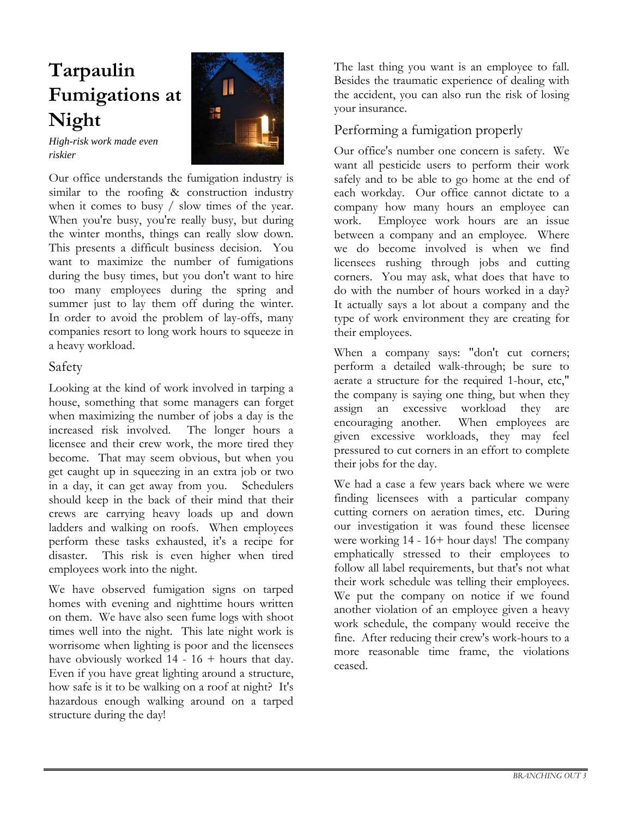# **Tarpaulin Fumigations at Night**



*High-risk work made even riskier* 

Our office understands the fumigation industry is similar to the roofing & construction industry when it comes to busy / slow times of the year. When you're busy, you're really busy, but during the winter months, things can really slow down. This presents a difficult business decision. You want to maximize the number of fumigations during the busy times, but you don't want to hire too many employees during the spring and summer just to lay them off during the winter. In order to avoid the problem of lay-offs, many companies resort to long work hours to squeeze in a heavy workload.

#### Safety

Looking at the kind of work involved in tarping a house, something that some managers can forget when maximizing the number of jobs a day is the increased risk involved. The longer hours a licensee and their crew work, the more tired they become. That may seem obvious, but when you get caught up in squeezing in an extra job or two in a day, it can get away from you. Schedulers should keep in the back of their mind that their crews are carrying heavy loads up and down ladders and walking on roofs. When employees perform these tasks exhausted, it's a recipe for disaster. This risk is even higher when tired employees work into the night.

We have observed fumigation signs on tarped homes with evening and nighttime hours written on them. We have also seen fume logs with shoot times well into the night. This late night work is worrisome when lighting is poor and the licensees have obviously worked  $14 - 16 +$  hours that day. Even if you have great lighting around a structure, how safe is it to be walking on a roof at night? It's hazardous enough walking around on a tarped structure during the day!

The last thing you want is an employee to fall. Besides the traumatic experience of dealing with the accident, you can also run the risk of losing your insurance.

#### Performing a fumigation properly

Our office's number one concern is safety. We want all pesticide users to perform their work safely and to be able to go home at the end of each workday. Our office cannot dictate to a company how many hours an employee can work. Employee work hours are an issue between a company and an employee. Where we do become involved is when we find licensees rushing through jobs and cutting corners. You may ask, what does that have to do with the number of hours worked in a day? It actually says a lot about a company and the type of work environment they are creating for their employees.

When a company says: "don't cut corners; perform a detailed walk-through; be sure to aerate a structure for the required 1-hour, etc," the company is saying one thing, but when they assign an excessive workload they are encouraging another. When employees are given excessive workloads, they may feel pressured to cut corners in an effort to complete their jobs for the day.

We had a case a few years back where we were finding licensees with a particular company cutting corners on aeration times, etc. During our investigation it was found these licensee were working 14 - 16+ hour days! The company emphatically stressed to their employees to follow all label requirements, but that's not what their work schedule was telling their employees. We put the company on notice if we found another violation of an employee given a heavy work schedule, the company would receive the fine. After reducing their crew's work-hours to a more reasonable time frame, the violations ceased.